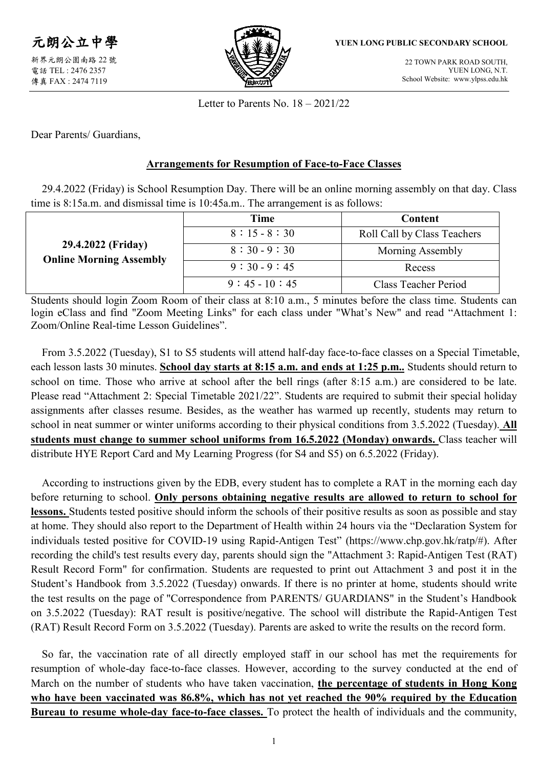

新界元朗公園南路 22 號 電話 TEL : 2476 2357 傳真 FAX : 2474 7119



#### **YUEN LONG PUBLIC SECONDARY SCHOOL**

22 TOWN PARK ROAD SOUTH, YUEN LONG, N.T. School Website: www.ylpss.edu.hk

Letter to Parents No. 18 – 2021/22

Dear Parents/ Guardians,

### **Arrangements for Resumption of Face-to-Face Classes**

29.4.2022 (Friday) is School Resumption Day. There will be an online morning assembly on that day. Class time is 8:15a.m. and dismissal time is 10:45a.m.. The arrangement is as follows:

|                                                      | Time          | Content                     |  |
|------------------------------------------------------|---------------|-----------------------------|--|
| 29.4.2022 (Friday)<br><b>Online Morning Assembly</b> | $8:15 - 8:30$ | Roll Call by Class Teachers |  |
|                                                      | $8:30-9:30$   | Morning Assembly            |  |
|                                                      | $9:30-9:45$   | Recess                      |  |
|                                                      | $9:45-10:45$  | Class Teacher Period        |  |

Students should login Zoom Room of their class at 8:10 a.m., 5 minutes before the class time. Students can login eClass and find "Zoom Meeting Links" for each class under "What's New" and read "Attachment 1: Zoom/Online Real-time Lesson Guidelines".

From 3.5.2022 (Tuesday), S1 to S5 students will attend half-day face-to-face classes on a Special Timetable, each lesson lasts 30 minutes. **School day starts at 8:15 a.m. and ends at 1:25 p.m..** Students should return to school on time. Those who arrive at school after the bell rings (after 8:15 a.m.) are considered to be late. Please read "Attachment 2: Special Timetable 2021/22". Students are required to submit their special holiday assignments after classes resume. Besides, as the weather has warmed up recently, students may return to school in neat summer or winter uniforms according to their physical conditions from 3.5.2022 (Tuesday). **All students must change to summer school uniforms from 16.5.2022 (Monday) onwards.** Class teacher will distribute HYE Report Card and My Learning Progress (for S4 and S5) on 6.5.2022 (Friday).

According to instructions given by the EDB, every student has to complete a RAT in the morning each day before returning to school. **Only persons obtaining negative results are allowed to return to school for lessons.** Students tested positive should inform the schools of their positive results as soon as possible and stay at home. They should also report to the Department of Health within 24 hours via the "Declaration System for individuals tested positive for COVID-19 using Rapid-Antigen Test" [\(https://www.chp.gov.hk/ratp/#\)](https://www.chp.gov.hk/ratp/). After recording the child's test results every day, parents should sign the "Attachment 3: Rapid-Antigen Test (RAT) Result Record Form" for confirmation. Students are requested to print out Attachment 3 and post it in the Student's Handbook from 3.5.2022 (Tuesday) onwards. If there is no printer at home, students should write the test results on the page of "Correspondence from PARENTS/ GUARDIANS" in the Student's Handbook on 3.5.2022 (Tuesday): RAT result is positive/negative. The school will distribute the Rapid-Antigen Test (RAT) Result Record Form on 3.5.2022 (Tuesday). Parents are asked to write the results on the record form.

So far, the vaccination rate of all directly employed staff in our school has met the requirements for resumption of whole-day face-to-face classes. However, according to the survey conducted at the end of March on the number of students who have taken vaccination, **the percentage of students in Hong Kong who have been vaccinated was 86.8%, which has not yet reached the 90% required by the Education Bureau to resume whole-day face-to-face classes.** To protect the health of individuals and the community,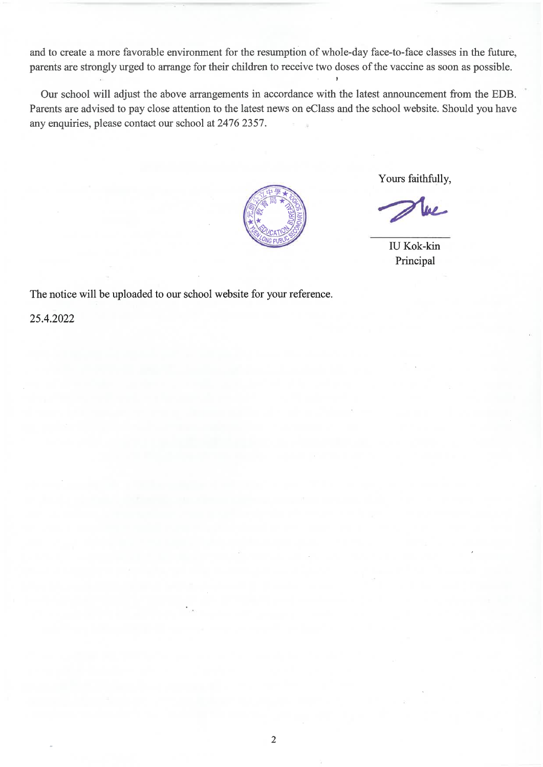and to create a more favorable environment for the resumption of whole-day face-to-face classes in the future, parents are strongly urged to arrange for their children to receive two doses of the vaccine as soon as possible.

Our school will adjust the above arrangements in accordance with the latest announcement from the EDB. Parents are advised to pay close attention to the latest news on eClass and the school website. Should you have any enquiries, please contact our school at 2476 2357.



Yours faithfully,

**IU Kok-kin** Principal

The notice will be uploaded to our school website for your reference.

25.4.2022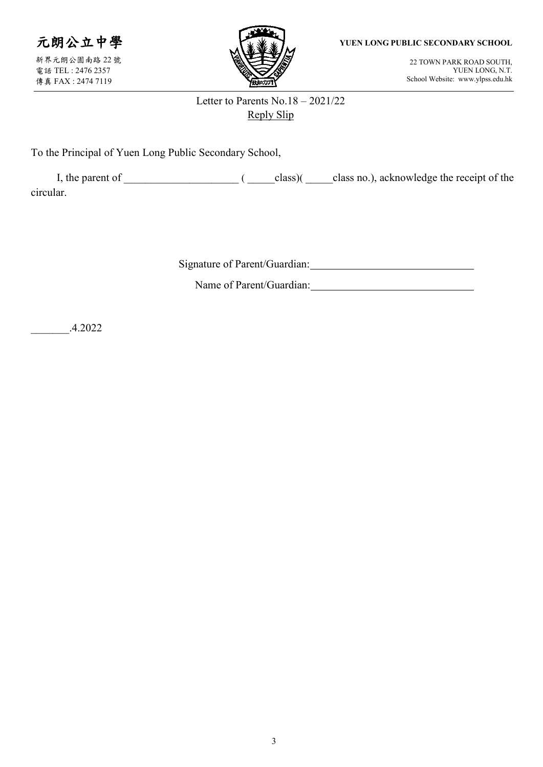

新界元朗公園南路 22 號 電話 TEL : 2476 2357 傳真 FAX : 2474 7119



**YUEN LONG PUBLIC SECONDARY SCHOOL**

22 TOWN PARK ROAD SOUTH, YUEN LONG, N.T. School Website: www.ylpss.edu.hk

## Letter to Parents No.18 – 2021/22 Reply Slip

To the Principal of Yuen Long Public Secondary School,

| I, the parent of |  | class) | class no.), acknowledge the receipt of the |
|------------------|--|--------|--------------------------------------------|
| circular.        |  |        |                                            |

Signature of Parent/Guardian:

Name of Parent/Guardian:

\_\_\_\_\_\_\_.4.2022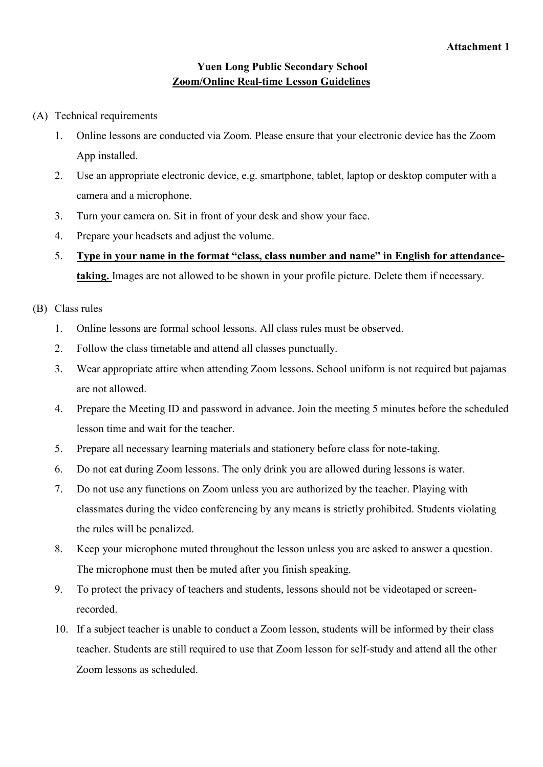### **Yuen Long Public Secondary School Zoom/Online Real-time Lesson Guidelines**

- (A) Technical requirements
	- 1. Online lessons are conducted via Zoom. Please ensure that your electronic device has the Zoom App installed.
	- 2. Use an appropriate electronic device, e.g. smartphone, tablet, laptop or desktop computer with a camera and a microphone.
	- 3. Turn your camera on. Sit in front of your desk and show your face.
	- 4. Prepare your headsets and adjust the volume.
	- 5. **Type in your name in the format "class, class number and name" in English for attendancetaking.** Images are not allowed to be shown in your profile picture. Delete them if necessary.

### (B) Class rules

- 1. Online lessons are formal school lessons. All class rules must be observed.
- 2. Follow the class timetable and attend all classes punctually.
- 3. Wear appropriate attire when attending Zoom lessons. School uniform is not required but pajamas are not allowed.
- 4. Prepare the Meeting ID and password in advance. Join the meeting 5 minutes before the scheduled lesson time and wait for the teacher.
- 5. Prepare all necessary learning materials and stationery before class for note-taking.
- 6. Do not eat during Zoom lessons. The only drink you are allowed during lessons is water.
- 7. Do not use any functions on Zoom unless you are authorized by the teacher. Playing with classmates during the video conferencing by any means is strictly prohibited. Students violating the rules will be penalized.
- 8. Keep your microphone muted throughout the lesson unless you are asked to answer a question. The microphone must then be muted after you finish speaking.
- 9. To protect the privacy of teachers and students, lessons should not be videotaped or screenrecorded.
- 10. If a subject teacher is unable to conduct a Zoom lesson, students will be informed by their class teacher. Students are still required to use that Zoom lesson for self-study and attend all the other Zoom lessons as scheduled.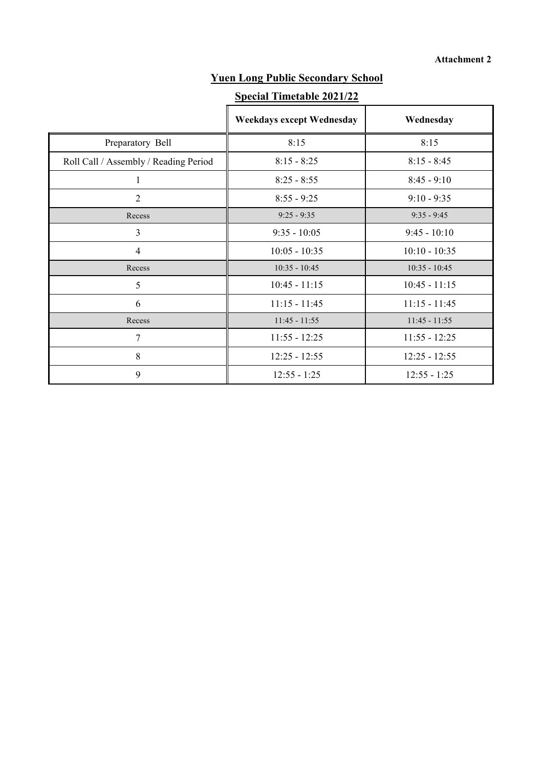# **Yuen Long Public Secondary School**

## **Special Timetable 2021/22**

|                                       | <b>Weekdays except Wednesday</b> | Wednesday       |
|---------------------------------------|----------------------------------|-----------------|
| Preparatory Bell                      | 8:15                             | 8:15            |
| Roll Call / Assembly / Reading Period | $8:15 - 8:25$                    | $8:15 - 8:45$   |
|                                       | $8:25 - 8:55$                    | $8:45 - 9:10$   |
| $\overline{2}$                        | $8:55 - 9:25$                    | $9:10 - 9:35$   |
| Recess                                | $9:25 - 9:35$                    | $9:35 - 9:45$   |
| 3                                     | $9:35 - 10:05$                   | $9:45 - 10:10$  |
| $\overline{4}$                        | $10:05 - 10:35$                  | $10:10 - 10:35$ |
| Recess                                | $10:35 - 10:45$                  | $10:35 - 10:45$ |
| 5                                     | $10:45 - 11:15$                  | $10:45 - 11:15$ |
| 6                                     | $11:15 - 11:45$                  | $11:15 - 11:45$ |
| Recess                                | $11:45 - 11:55$                  | $11:45 - 11:55$ |
| 7                                     | $11:55 - 12:25$                  | $11:55 - 12:25$ |
| 8                                     | $12:25 - 12:55$                  | $12:25 - 12:55$ |
| 9                                     | $12:55 - 1:25$                   | $12:55 - 1:25$  |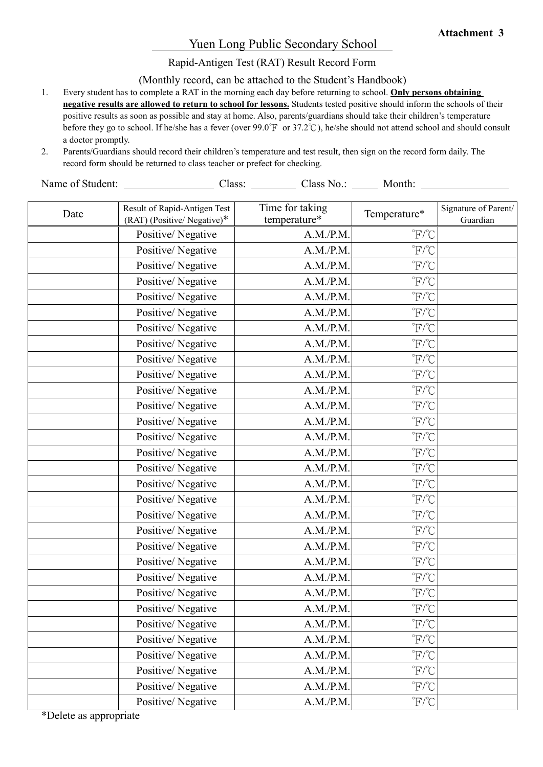### Yuen Long Public Secondary School

Rapid-Antigen Test (RAT) Result Record Form

(Monthly record, can be attached to the Student's Handbook)

- 1. Every student has to complete a RAT in the morning each day before returning to school. **Only persons obtaining negative results are allowed to return to school for lessons.** Students tested positive should inform the schools of their positive results as soon as possible and stay at home. Also, parents/guardians should take their children's temperature before they go to school. If he/she has a fever (over 99.0°F or 37.2°C), he/she should not attend school and should consult a doctor promptly.
- 2. Parents/Guardians should record their children's temperature and test result, then sign on the record form daily. The record form should be returned to class teacher or prefect for checking.

Name of Student: Class: Class: Class No.: Month: Month:

| Date | Result of Rapid-Antigen Test<br>(RAT) (Positive/ Negative)* | Time for taking<br>temperature* | Temperature*                                           | Signature of Parent/<br>Guardian |
|------|-------------------------------------------------------------|---------------------------------|--------------------------------------------------------|----------------------------------|
|      | Positive/Negative                                           | A.M./P.M.                       | $\mathrm{^{\circ}F}/\mathrm{^{\circ}C}$                |                                  |
|      | Positive/Negative                                           | A.M./P.M.                       | $\mathrm{F}/\mathrm{C}$                                |                                  |
|      | Positive/Negative                                           | A.M./P.M.                       | $\mathrm{F}/\mathrm{C}$                                |                                  |
|      | Positive/Negative                                           | A.M./P.M.                       | $\mathrm{F}/\mathrm{C}$                                |                                  |
|      | Positive/Negative                                           | A.M./P.M.                       | $\mathrm{F}/\mathrm{C}$                                |                                  |
|      | Positive/Negative                                           | A.M./P.M.                       | $\mathrm{F}/\mathrm{C}$                                |                                  |
|      | Positive/Negative                                           | A.M./P.M.                       | $\mathrm{F}/\mathrm{C}$                                |                                  |
|      | Positive/Negative                                           | A.M./P.M.                       | $\mathrm{F}/\mathrm{C}$                                |                                  |
|      | Positive/Negative                                           | A.M./P.M.                       | $\mathrm{F}/\mathrm{C}$                                |                                  |
|      | Positive/Negative                                           | A.M./P.M.                       | $\mathrm{F}/\mathrm{C}$                                |                                  |
|      | Positive/Negative                                           | A.M./P.M.                       | $\mathrm{^{\circ}F}/\mathrm{^{\circ}C}$                |                                  |
|      | Positive/Negative                                           | A.M./P.M.                       | $\mathrm{F}/\mathrm{C}$                                |                                  |
|      | Positive/Negative                                           | A.M./P.M.                       | $\mathrm{F}/\mathrm{C}$                                |                                  |
|      | Positive/Negative                                           | A.M./P.M.                       | $\mathrm{F}/\mathrm{C}$                                |                                  |
|      | Positive/Negative                                           | A.M./P.M.                       | $\mathrm{F}/\mathrm{C}$                                |                                  |
|      | Positive/Negative                                           | A.M./P.M.                       | $\mathrm{F}/\mathrm{C}$                                |                                  |
|      | Positive/Negative                                           | A.M./P.M.                       | $\mathrm{F}/\mathrm{C}$                                |                                  |
|      | Positive/Negative                                           | A.M./P.M.                       | $\mathrm{^{\circ}F}/\mathrm{^{\circ}C}$                |                                  |
|      | Positive/Negative                                           | A.M./P.M.                       | $\mathrm{F}/\mathrm{C}$                                |                                  |
|      | Positive/Negative                                           | A.M./P.M.                       | $\mathrm{F}/\mathrm{C}$                                |                                  |
|      | Positive/Negative                                           | A.M./P.M.                       | $\mathrm{F}/\mathrm{C}$                                |                                  |
|      | Positive/Negative                                           | A.M./P.M.                       | $\mathrm{F}/\mathrm{C}$                                |                                  |
|      | Positive/Negative                                           | A.M./P.M.                       | $\mathrm{F}/\mathrm{C}$                                |                                  |
|      | Positive/Negative                                           | A.M./P.M.                       | $\mathrm{PFT}^{\circ}C$                                |                                  |
|      | Positive/Negative                                           | A.M./P.M.                       | $\mathrm{P}^{\circ}\mathrm{F}/\mathrm{C}$              |                                  |
|      | Positive/Negative                                           | A.M./P.M.                       | $\mathrm{F}/\mathrm{C}$                                |                                  |
|      | Positive/Negative                                           | A.M./P.M.                       | $\mathrm{^{\circ}F}/\mathrm{^{\circ}C}$                |                                  |
|      | Positive/Negative                                           | A.M./P.M.                       | $\mathrm{F}/\mathrm{C}$                                |                                  |
|      | Positive/Negative                                           | A.M./P.M.                       | $\mathrm{F}/\mathrm{C}$                                |                                  |
|      | Positive/Negative                                           | A.M./P.M.                       | $\mathrm{P}^{\circ}\mathrm{F}^{\prime\circ}\mathrm{C}$ |                                  |
|      | Positive/Negative                                           | A.M./P.M.                       | $\mathrm{P}^{\circ}\mathrm{F}/\mathrm{C}^{\circ}$      |                                  |

\*Delete as appropriate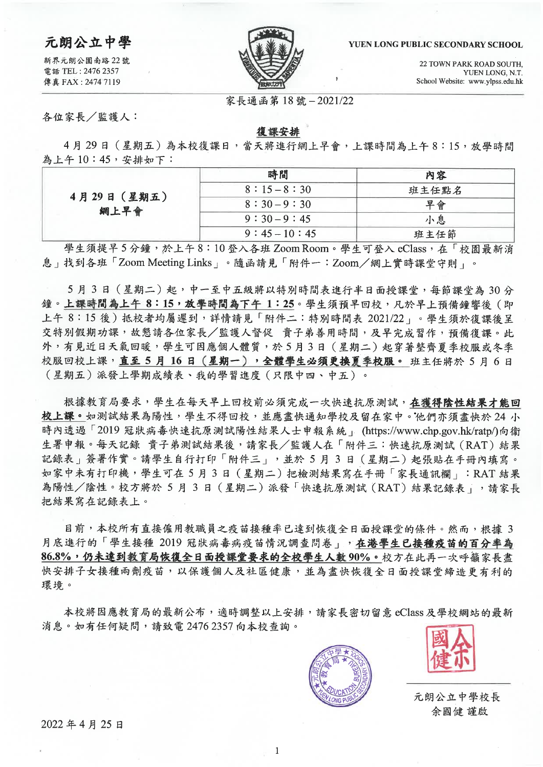#### YUEN LONG PUBLIC SECONDARY SCHOOL

22 TOWN PARK ROAD SOUTH. YUEN LONG, N.T. School Website: www.ylpss.edu.hk



家長通函第18號-2021/22

各位家長/監護人:

元朗公立中學

新界元朗公園南路 22 號

電話 TEL: 2476 2357

傳真 FAX: 2474 7119

### 復課安排

4月29日 (星期五)為本校復課日,當天將進行網上早會,上課時間為上午8:15,放學時間 為上午10:45,安排如下:

| 4月29日 (星期五)<br>網上早會 | 時間           | 內容    |
|---------------------|--------------|-------|
|                     | $8:15-8:30$  | 班主任點名 |
|                     | $8:30-9:30$  | 早會    |
|                     | $9:30-9:45$  | 小息    |
|                     | $9:45-10:45$ | 班主任節  |

學生須提早5分鐘,於上午8:10登入各班Zoom Room。學生可登入 eClass,在「校園最新消 息」找到各班「Zoom Meeting Links」。隨函請見「附件一:Zoom/網上實時課堂守則」。

5月3日 (星期二)起,中一至中五級將以特別時間表進行半日面授課堂,每節課堂為30分 鐘。上課時間為上午8:15,放學時間為下午1:25。學生須預早回校,凡於早上預備鐘響後(即 上午 8:15後)抵校者均屬遲到,詳情請見「附件二:特別時間表 2021/22」。學生須於復課後呈 交特別假期功課,故懇請各位家長/監護人督促 貴子弟善用時間,及早完成習作,預備復課。此 外,有見近日天氣回暖,學生可因應個人體質,於5月3日 (星期二)起穿著整齊夏季校服或冬季 校服回校上課, 直至5月16日 (星期一), 全體學生必須更換夏季校服。 班主任將於5月6日 (星期五)派發上學期成績表、我的學習進度 (只限中四、中五)。

根據教育局要求,學生在每天早上回校前必須完成一次快速抗原測試,在獲得陰性結果才能回 校上課。如測試結果為陽性,學生不得回校,並應盡快通知學校及留在家中。他們亦須盡快於24小 時內透過「2019 冠狀病毒快速抗原測試陽性結果人士申報系統」 (https://www.chp.gov.hk/ratp/)向衛 生署申報。每天記錄 貴子弟測試結果後,請家長/監護人在「附件三:快速抗原測試(RAT)結果 記錄表 | 簽署作實。請學生自行打印「附件三」,並於 5 月 3 日 (星期二) 起張貼在手冊內填寫。 如家中未有打印機,學生可在5月3日 (星期二) 把檢測結果寫在手冊「家長通訊欄」:RAT 結果 為陽性/陰性。校方將於 5 月 3 日 (星期二) 派發「快速抗原測試 (RAT) 結果記錄表 , , 請家長 把結果寫在記錄表上。

目前,本校所有直接僱用教職員之疫苗接種率已達到恢復全日面授課堂的條件。然而,根據 3 月底進行的「學生接種 2019 冠狀病毒病疫苗情況調查問卷」,在港學生已接種疫苗的百分率為 86.8%,仍未達到教育局恢復全日面授課堂要求的全校學生人數90%。校方在此再一次呼籲家長盡 快安排子女接種兩劑疫苗,以保護個人及社區健康,並為盡快恢復全日面授課堂締造更有利的 環境。

本校將因應教育局的最新公布,適時調整以上安排,請家長密切留意 eClass及學校網站的最新 消息。如有任何疑問,請致電 2476 2357 向本校查詢。





元朗公立中學校長 余國健 謹啟

2022年4月25日

 $\mathbf{1}$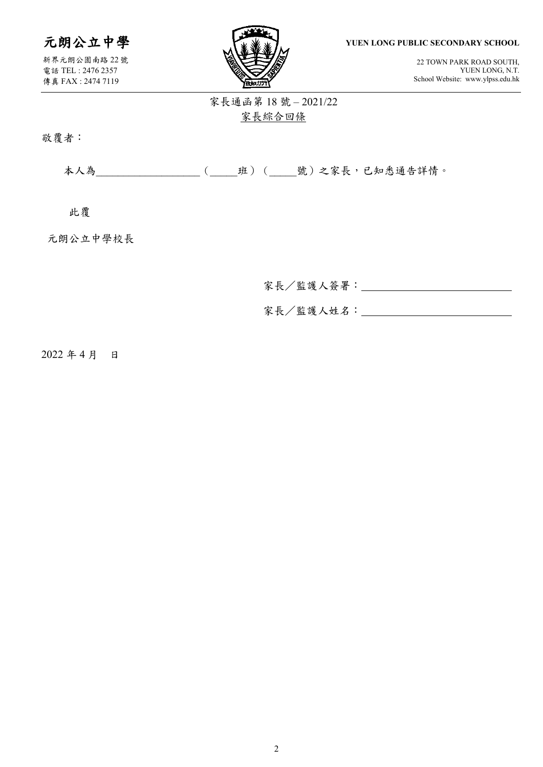元朗公立中學

新界元朗公園南路 22 號 電話 TEL : 2476 2357 傳真 FAX : 2474 7119



**YUEN LONG PUBLIC SECONDARY SCHOOL**

22 TOWN PARK ROAD SOUTH, YUEN LONG, N.T. School Website: www.ylpss.edu.hk

# 家長通函第 18 號 – 2021/22 家長綜合回條

敬覆者:

本人為\_\_\_\_\_\_\_\_\_\_\_\_\_\_\_\_\_\_\_\_\_(\_\_\_\_\_ 班)(\_\_\_\_號)之家長,已知悉通告詳情。

此覆

元朗公立中學校長

家長/監護人簽署:

家長/監護人姓名:

2022 年 4 月 日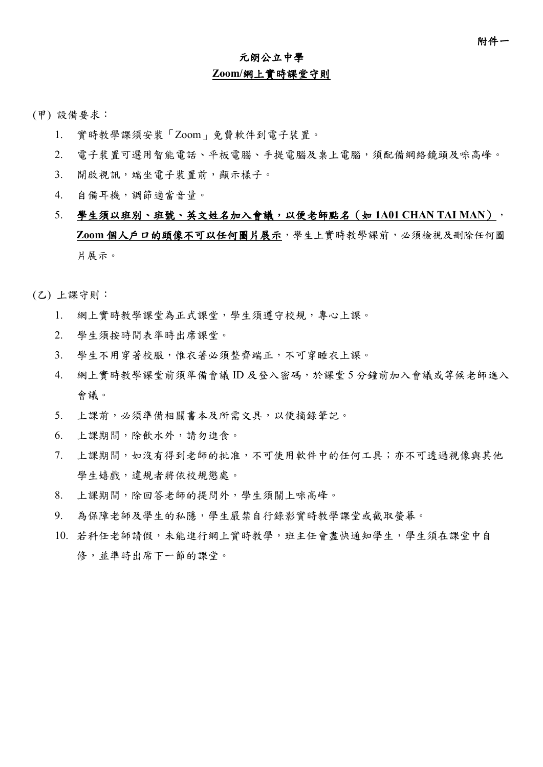# 元朗公立中學 **Zoom/**網上實時課堂守則

- (甲) 設備要求:
	- 1. 實時教學課須安裝「Zoom」免費軟件到電子裝置。
	- 2. 電子裝置可選用智能電話、平板電腦、手提電腦及桌上電腦,須配備網絡鏡頭及咪高峰。
	- 3. 開啟視訊,端坐電子裝置前,顯示樣子。
	- 4. 自備耳機,調節適當音量。
	- 5. 學生須以班別、班號、英文姓名加入會議,以便老師點名(如 **1A01 CHAN TAI MAN**), **Zoom** 個人戶口的頭像不可以任何圖片展示,學生上實時教學課前,必須檢視及刪除任何圖 片展示。
- (乙) 上課守則:
	- 1. 網上實時教學課堂為正式課堂,學生須遵守校規,專心上課。
	- 2. 學生須按時間表準時出席課堂。
	- 3. 學生不用穿著校服,惟衣著必須整齊端正,不可穿睡衣上課。
	- 4. 網上實時教學課堂前須準備會議 ID 及登入密碼,於課堂 5 分鐘前加入會議或等候老師進入 會議。
	- 5. 上課前,必須準備相關書本及所需文具,以便摘錄筆記。
	- 6. 上課期間,除飲水外,請勿進食。
	- 7. 上課期間,如沒有得到老師的批准,不可使用軟件中的任何工具;亦不可透過視像與其他 學生嬉戲,違規者將依校規懲處。
	- 8. 上課期間,除回答老師的提問外,學生須關上咪高峰。
	- 9. 為保障老師及學生的私隱,學生嚴禁自行錄影實時教學課堂或截取螢幕。
	- 10. 若科任老師請假,未能進行網上實時教學,班主任會盡快通知學生,學生須在課堂中自 修,並準時出席下一節的課堂。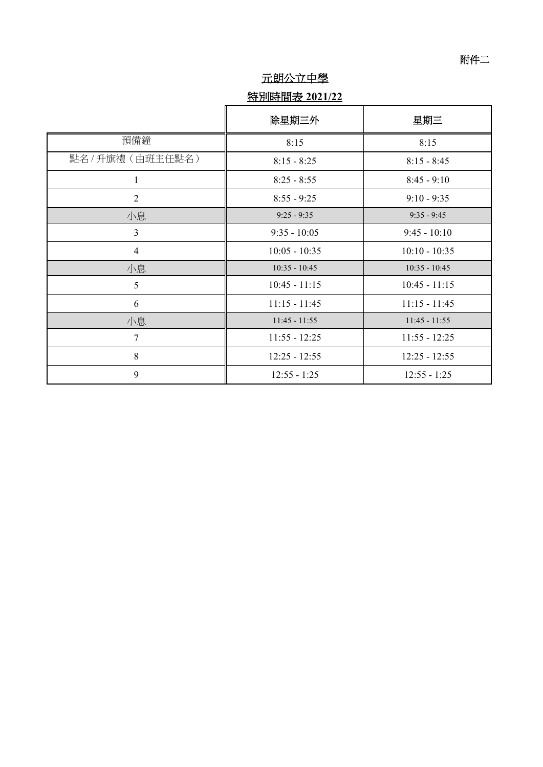## 元朗公立中學

# 特別時間表 **2021/22**

|                   | 除星期三外           | 星期三             |
|-------------------|-----------------|-----------------|
| 預備鐘               | 8:15            | 8:15            |
| 點名 / 升旗禮 (由班主任點名) | $8:15 - 8:25$   | $8:15 - 8:45$   |
| 1                 | $8:25 - 8:55$   | $8:45 - 9:10$   |
| $\overline{2}$    | $8:55 - 9:25$   | $9:10 - 9:35$   |
| 小息                | $9:25 - 9:35$   | $9:35 - 9:45$   |
| $\overline{3}$    | $9:35 - 10:05$  | $9:45 - 10:10$  |
| $\overline{4}$    | $10:05 - 10:35$ | $10:10 - 10:35$ |
| 小息                | $10:35 - 10:45$ | $10:35 - 10:45$ |
| 5                 | $10:45 - 11:15$ | $10:45 - 11:15$ |
| 6                 | $11:15 - 11:45$ | $11:15 - 11:45$ |
| 小息                | $11:45 - 11:55$ | $11:45 - 11:55$ |
| $\overline{7}$    | $11:55 - 12:25$ | $11:55 - 12:25$ |
| 8                 | $12:25 - 12:55$ | $12:25 - 12:55$ |
| 9                 | $12:55 - 1:25$  | $12:55 - 1:25$  |